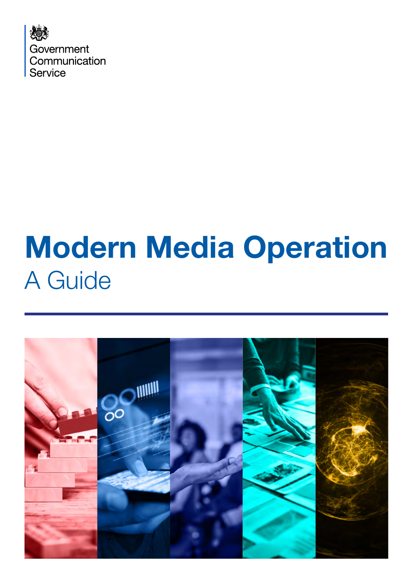

# Modern Media Operation A Guide

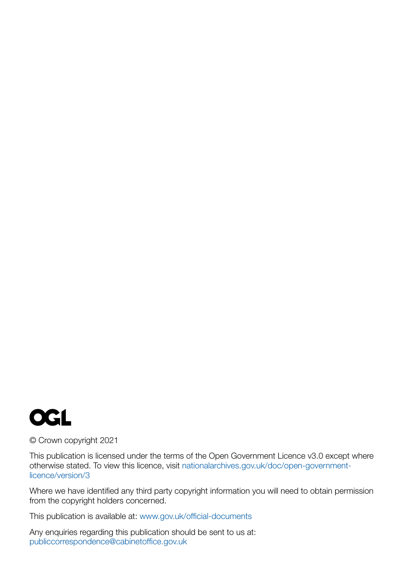

#### © Crown copyright 2021

This publication is licensed under the terms of the Open Government Licence v3.0 except where otherwise stated. To view this licence, visit [nationalarchives.gov.uk/doc/open-government](http://nationalarchives.gov.uk/doc/open-government-licence/version/3)[licence/version/3](http://nationalarchives.gov.uk/doc/open-government-licence/version/3)

Where we have identified any third party copyright information you will need to obtain permission from the copyright holders concerned.

This publication is available at: [www.gov.uk/official-documents](http://www.gov.uk/official-documents)

Any enquiries regarding this publication should be sent to us at: [publiccorrespondence@cabinetoffice.gov.uk](mailto:publiccorrespondence%40cabinetoffice.gov.uk?subject=)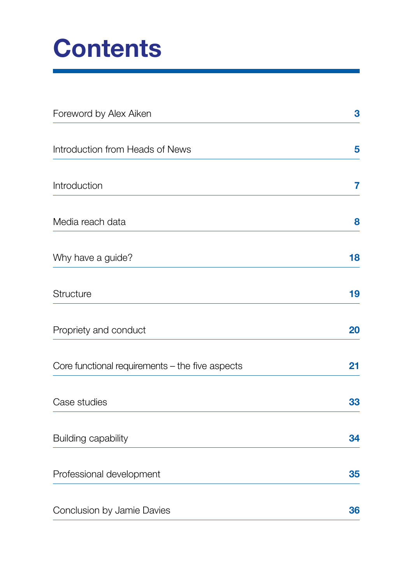## **Contents**

| Foreword by Alex Aiken                          | 3  |
|-------------------------------------------------|----|
| Introduction from Heads of News                 | 5  |
| Introduction                                    | 7  |
| Media reach data                                | 8  |
| Why have a guide?                               | 18 |
| Structure                                       | 19 |
| Propriety and conduct                           | 20 |
| Core functional requirements – the five aspects | 21 |
| Case studies                                    | 33 |
| <b>Building capability</b>                      | 34 |
| Professional development                        | 35 |
| Conclusion by Jamie Davies                      | 36 |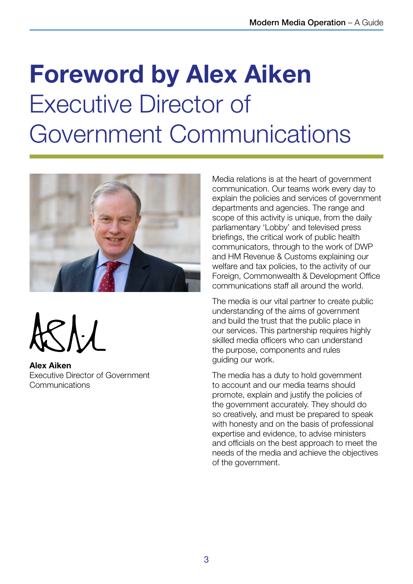## <span id="page-4-0"></span>Foreword by Alex Aiken Executive Director of Government Communications



Alex Aiken Executive Director of Government Communications

Media relations is at the heart of government communication. Our teams work every day to explain the policies and services of government departments and agencies. The range and scope of this activity is unique, from the daily parliamentary 'Lobby' and televised press briefings, the critical work of public health communicators, through to the work of DWP and HM Revenue & Customs explaining our welfare and tax policies, to the activity of our Foreign, Commonwealth & Development Office communications staff all around the world.

The media is our vital partner to create public understanding of the aims of government and build the trust that the public place in our services. This partnership requires highly skilled media officers who can understand the purpose, components and rules guiding our work.

The media has a duty to hold government to account and our media teams should promote, explain and justify the policies of the government accurately. They should do so creatively, and must be prepared to speak with honesty and on the basis of professional expertise and evidence, to advise ministers and officials on the best approach to meet the needs of the media and achieve the objectives of the government.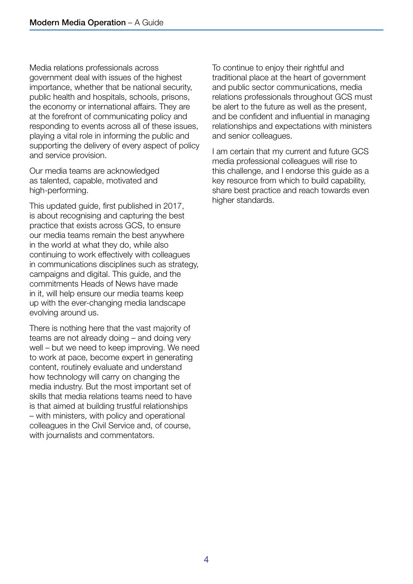Media relations professionals across government deal with issues of the highest importance, whether that be national security, public health and hospitals, schools, prisons, the economy or international affairs. They are at the forefront of communicating policy and responding to events across all of these issues, playing a vital role in informing the public and supporting the delivery of every aspect of policy and service provision.

Our media teams are acknowledged as talented, capable, motivated and high-performing.

This updated guide, first published in 2017, is about recognising and capturing the best practice that exists across GCS, to ensure our media teams remain the best anywhere in the world at what they do, while also continuing to work effectively with colleagues in communications disciplines such as strategy, campaigns and digital. This guide, and the commitments Heads of News have made in it, will help ensure our media teams keep up with the ever-changing media landscape evolving around us.

There is nothing here that the vast majority of teams are not already doing – and doing very well – but we need to keep improving. We need to work at pace, become expert in generating content, routinely evaluate and understand how technology will carry on changing the media industry. But the most important set of skills that media relations teams need to have is that aimed at building trustful relationships – with ministers, with policy and operational colleagues in the Civil Service and, of course, with journalists and commentators.

To continue to enjoy their rightful and traditional place at the heart of government and public sector communications, media relations professionals throughout GCS must be alert to the future as well as the present, and be confident and influential in managing relationships and expectations with ministers and senior colleagues.

I am certain that my current and future GCS media professional colleagues will rise to this challenge, and I endorse this guide as a key resource from which to build capability, share best practice and reach towards even higher standards.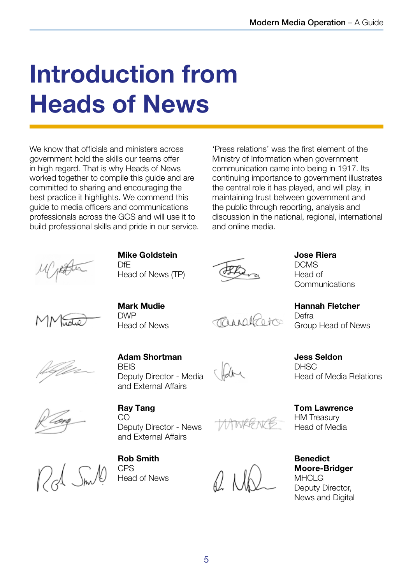## <span id="page-6-0"></span>Introduction from Heads of News

We know that officials and ministers across government hold the skills our teams offer in high regard. That is why Heads of News worked together to compile this guide and are committed to sharing and encouraging the best practice it highlights. We commend this guide to media officers and communications professionals across the GCS and will use it to build professional skills and pride in our service.

'Press relations' was the first element of the Ministry of Information when government communication came into being in 1917. Its continuing importance to government illustrates the central role it has played, and will play, in maintaining trust between government and the public through reporting, analysis and discussion in the national, regional, international and online media.



Mike Goldstein DfE Head of News (TP)



Jose Riera DCMS Head of **Communications** 

Hannah Fletcher **Defra** Group Head of News



Mark Mudie DWP Head of News

TRANGLEOTER



Adam Shortman **BFIS** Deputy Director - Media and External Affairs

Jess Seldon **DHSC** Head of Media Relations

Ray Tang CO Deputy Director - News and External Affairs

MWRG N/B

P. Nk

Benedict Moore-Bridger **MHCLG** Deputy Director, News and Digital

Tom Lawrence HM Treasury Head of Media

Rob Smith CPS Head of News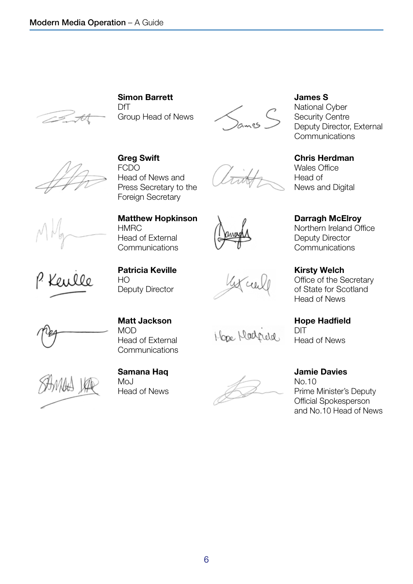

Simon Barrett DfT Group Head of News



Greg Swift FCDO Head of News and Press Secretary to the Foreign Secretary





National Cyber Security Centre Deputy Director, External **Communications** 

Chris Herdman Wales Office Head of News and Digital

Darragh McElroy Northern Ireland Office Deputy Director **Communications** 

Kirsty Welch Office of the Secretary of State for Scotland Head of News

Hope Hadfield DIT Head of News

Matt Jackson Head of External **Communications** 

Hope Madrida

Jamie Davies No.10 Prime Minister's Deputy Official Spokesperson and No.10 Head of News



Konllo

MOD

**HMRC** 

HO

Head of External **Communications** 

Patricia Keville

Deputy Director

Samana Haq Mo<sub>J</sub> Head of News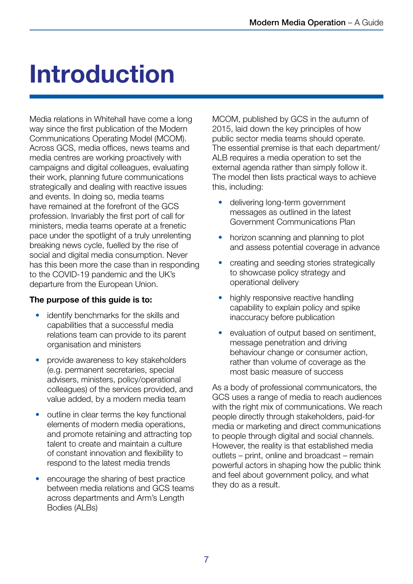## <span id="page-8-0"></span>Introduction

Media relations in Whitehall have come a long way since the first publication of the Modern Communications Operating Model (MCOM). Across GCS, media offices, news teams and media centres are working proactively with campaigns and digital colleagues, evaluating their work, planning future communications strategically and dealing with reactive issues and events. In doing so, media teams have remained at the forefront of the GCS profession. Invariably the first port of call for ministers, media teams operate at a frenetic pace under the spotlight of a truly unrelenting breaking news cycle, fuelled by the rise of social and digital media consumption. Never has this been more the case than in responding to the COVID-19 pandemic and the UK's departure from the European Union.

#### The purpose of this guide is to:

- identify benchmarks for the skills and capabilities that a successful media relations team can provide to its parent organisation and ministers
- provide awareness to key stakeholders (e.g. permanent secretaries, special advisers, ministers, policy/operational colleagues) of the services provided, and value added, by a modern media team
- outline in clear terms the key functional elements of modern media operations, and promote retaining and attracting top talent to create and maintain a culture of constant innovation and flexibility to respond to the latest media trends
- encourage the sharing of best practice between media relations and GCS teams across departments and Arm's Length Bodies (ALBs)

MCOM, published by GCS in the autumn of 2015, laid down the key principles of how public sector media teams should operate. The essential premise is that each department/ ALB requires a media operation to set the external agenda rather than simply follow it. The model then lists practical ways to achieve this, including:

- delivering long-term government messages as outlined in the latest Government Communications Plan
- horizon scanning and planning to plot and assess potential coverage in advance
- creating and seeding stories strategically to showcase policy strategy and operational delivery
- highly responsive reactive handling capability to explain policy and spike inaccuracy before publication
- evaluation of output based on sentiment, message penetration and driving behaviour change or consumer action, rather than volume of coverage as the most basic measure of success

As a body of professional communicators, the GCS uses a range of media to reach audiences with the right mix of communications. We reach people directly through stakeholders, paid-for media or marketing and direct communications to people through digital and social channels. However, the reality is that established media outlets – print, online and broadcast – remain powerful actors in shaping how the public think and feel about government policy, and what they do as a result.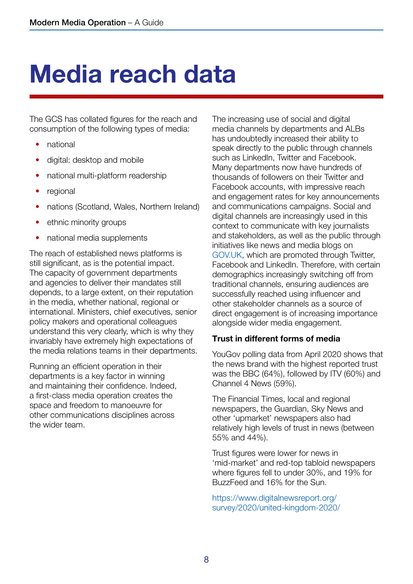## <span id="page-9-0"></span>Media reach data

The GCS has collated figures for the reach and consumption of the following types of media:

- national
- digital: desktop and mobile
- national multi-platform readership
- regional
- nations (Scotland, Wales, Northern Ireland)
- ethnic minority groups
- national media supplements

The reach of established news platforms is still significant, as is the potential impact. The capacity of government departments and agencies to deliver their mandates still depends, to a large extent, on their reputation in the media, whether national, regional or international. Ministers, chief executives, senior policy makers and operational colleagues understand this very clearly, which is why they invariably have extremely high expectations of the media relations teams in their departments.

Running an efficient operation in their departments is a key factor in winning and maintaining their confidence. Indeed, a first-class media operation creates the space and freedom to manoeuvre for other communications disciplines across the wider team.

The increasing use of social and digital media channels by departments and ALBs has undoubtedly increased their ability to speak directly to the public through channels such as LinkedIn, Twitter and Facebook. Many departments now have hundreds of thousands of followers on their Twitter and Facebook accounts, with impressive reach and engagement rates for key announcements and communications campaigns. Social and digital channels are increasingly used in this context to communicate with key journalists and stakeholders, as well as the public through initiatives like news and media blogs on [GOV.UK,](https://www.gov.uk/) which are promoted through Twitter, Facebook and LinkedIn. Therefore, with certain demographics increasingly switching off from traditional channels, ensuring audiences are successfully reached using influencer and other stakeholder channels as a source of direct engagement is of increasing importance alongside wider media engagement.

#### Trust in different forms of media

YouGov polling data from April 2020 shows that the news brand with the highest reported trust was the BBC (64%), followed by ITV (60%) and Channel 4 News (59%).

The Financial Times, local and regional newspapers, the Guardian, Sky News and other 'upmarket' newspapers also had relatively high levels of trust in news (between 55% and 44%).

Trust figures were lower for news in 'mid-market' and red-top tabloid newspapers where figures fell to under 30%, and 19% for BuzzFeed and 16% for the Sun.

[https://www.digitalnewsreport.org/](https://www.digitalnewsreport.org/survey/2020/united-kingdom-2020/) [survey/2020/united-kingdom-2020/](https://www.digitalnewsreport.org/survey/2020/united-kingdom-2020/)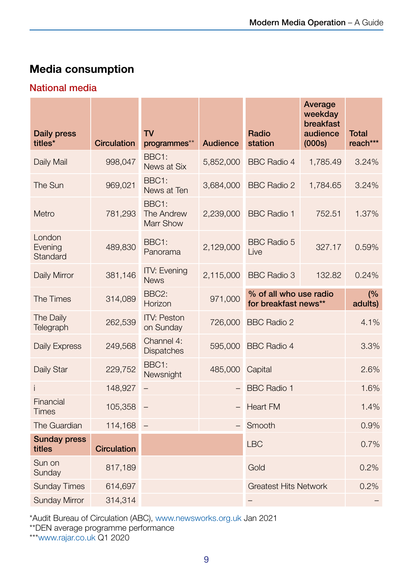### Media consumption

#### National media

| <b>Daily press</b><br>titles* | <b>Circulation</b> | <b>TV</b><br>programmes**               | <b>Audience</b> | Radio<br>station                               | Average<br>weekday<br>breakfast<br>audience<br>(000s) | <b>Total</b><br>reach*** |
|-------------------------------|--------------------|-----------------------------------------|-----------------|------------------------------------------------|-------------------------------------------------------|--------------------------|
| Daily Mail                    | 998,047            | BBC1:<br>News at Six                    | 5,852,000       | <b>BBC Radio 4</b>                             | 1,785.49                                              | 3.24%                    |
| The Sun                       | 969,021            | BBC1:<br>News at Ten                    | 3,684,000       | <b>BBC Radio 2</b>                             | 1,784.65                                              | 3.24%                    |
| Metro                         | 781,293            | BBC1:<br>The Andrew<br><b>Marr Show</b> | 2,239,000       | <b>BBC Radio 1</b>                             | 752.51                                                | 1.37%                    |
| London<br>Evening<br>Standard | 489,830            | BBC1:<br>Panorama                       | 2,129,000       | <b>BBC Radio 5</b><br>Live                     | 327.17                                                | 0.59%                    |
| Daily Mirror                  | 381,146            | <b>ITV: Evening</b><br><b>News</b>      | 2,115,000       | <b>BBC Radio 3</b>                             | 132.82                                                | 0.24%                    |
| <b>The Times</b>              | 314,089            | BBC <sub>2</sub> :<br>Horizon           | 971,000         | % of all who use radio<br>for breakfast news** |                                                       | (%)<br>adults)           |
| The Daily<br>Telegraph        | 262,539            | <b>ITV: Peston</b><br>on Sunday         | 726,000         | <b>BBC Radio 2</b>                             |                                                       | 4.1%                     |
| <b>Daily Express</b>          | 249,568            | Channel 4:<br><b>Dispatches</b>         | 595,000         | <b>BBC Radio 4</b>                             |                                                       | 3.3%                     |
| Daily Star                    | 229,752            | BBC1:<br>Newsnight                      | 485,000         | Capital                                        |                                                       | 2.6%                     |
|                               | 148,927            |                                         |                 | <b>BBC Radio 1</b>                             |                                                       | 1.6%                     |
| Financial<br><b>Times</b>     | 105,358            |                                         |                 | <b>Heart FM</b>                                |                                                       | 1.4%                     |
| The Guardian                  | 114,168            |                                         |                 | Smooth                                         |                                                       | 0.9%                     |
| <b>Sunday press</b><br>titles | <b>Circulation</b> |                                         |                 | <b>LBC</b>                                     |                                                       | 0.7%                     |
| Sun on<br>Sunday              | 817,189            |                                         |                 | Gold                                           |                                                       | 0.2%                     |
| <b>Sunday Times</b>           | 614,697            |                                         |                 | <b>Greatest Hits Network</b>                   |                                                       | 0.2%                     |
| <b>Sunday Mirror</b>          | 314,314            |                                         |                 |                                                |                                                       |                          |

\*Audit Bureau of Circulation (ABC), [www.newsworks.org.uk](http://www.newsworks.org.uk) Jan 2021

\*\*DEN average programme performance

\*\*[\\*www.rajar.co.uk](http://www.rajar.co.uk) Q1 2020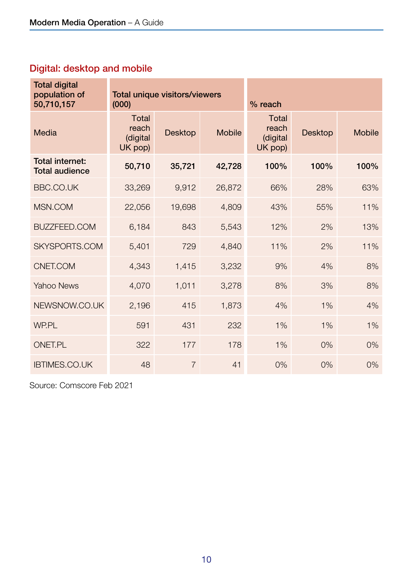### Digital: desktop and mobile

| <b>Total digital</b><br>population of<br>50,710,157 | <b>Total unique visitors/viewers</b><br>(000) |                |               | % reach                                      |                |               |
|-----------------------------------------------------|-----------------------------------------------|----------------|---------------|----------------------------------------------|----------------|---------------|
| Media                                               | Total<br>reach<br>(digital<br>UK pop)         | <b>Desktop</b> | <b>Mobile</b> | <b>Total</b><br>reach<br>(digital<br>UK pop) | <b>Desktop</b> | <b>Mobile</b> |
| <b>Total internet:</b><br><b>Total audience</b>     | 50,710                                        | 35,721         | 42,728        | 100%                                         | 100%           | 100%          |
| <b>BBC.CO.UK</b>                                    | 33,269                                        | 9,912          | 26,872        | 66%                                          | 28%            | 63%           |
| MSN.COM                                             | 22,056                                        | 19,698         | 4,809         | 43%                                          | 55%            | 11%           |
| <b>BUZZFEED.COM</b>                                 | 6,184                                         | 843            | 5,543         | 12%                                          | 2%             | 13%           |
| SKYSPORTS.COM                                       | 5,401                                         | 729            | 4,840         | 11%                                          | 2%             | 11%           |
| CNET.COM                                            | 4,343                                         | 1,415          | 3,232         | 9%                                           | 4%             | 8%            |
| <b>Yahoo News</b>                                   | 4,070                                         | 1,011          | 3,278         | 8%                                           | 3%             | 8%            |
| NEWSNOW.CO.UK                                       | 2,196                                         | 415            | 1,873         | 4%                                           | 1%             | 4%            |
| WP.PL                                               | 591                                           | 431            | 232           | 1%                                           | 1%             | 1%            |
| <b>ONET.PL</b>                                      | 322                                           | 177            | 178           | 1%                                           | 0%             | $0\%$         |
| <b>IBTIMES.CO.UK</b>                                | 48                                            | $\overline{7}$ | 41            | 0%                                           | 0%             | 0%            |

Source: Comscore Feb 2021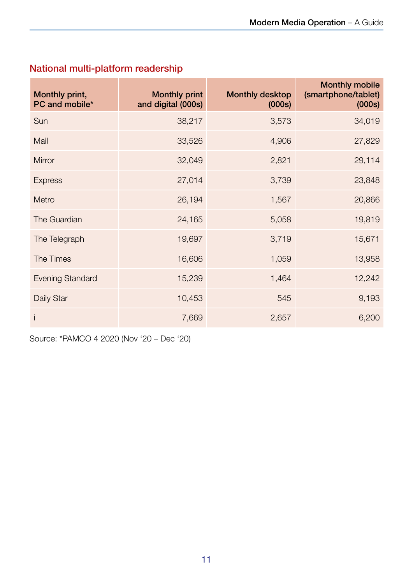| Monthly print,<br>PC and mobile* | <b>Monthly print</b><br>and digital (000s) | <b>Monthly desktop</b><br>(000s) | <b>Monthly mobile</b><br>(smartphone/tablet)<br>(000s) |
|----------------------------------|--------------------------------------------|----------------------------------|--------------------------------------------------------|
| Sun                              | 38,217                                     | 3,573                            | 34,019                                                 |
| Mail                             | 33,526                                     | 4,906                            | 27,829                                                 |
| <b>Mirror</b>                    | 32,049                                     | 2,821                            | 29,114                                                 |
| <b>Express</b>                   | 27,014                                     | 3,739                            | 23,848                                                 |
| Metro                            | 26,194                                     | 1,567                            | 20,866                                                 |
| The Guardian                     | 24,165                                     | 5,058                            | 19,819                                                 |
| The Telegraph                    | 19,697                                     | 3,719                            | 15,671                                                 |
| The Times                        | 16,606                                     | 1,059                            | 13,958                                                 |
| <b>Evening Standard</b>          | 15,239                                     | 1,464                            | 12,242                                                 |
| Daily Star                       | 10,453                                     | 545                              | 9,193                                                  |
| İ                                | 7,669                                      | 2,657                            | 6,200                                                  |

### National multi-platform readership

Source: \*PAMCO 4 2020 (Nov '20 – Dec '20)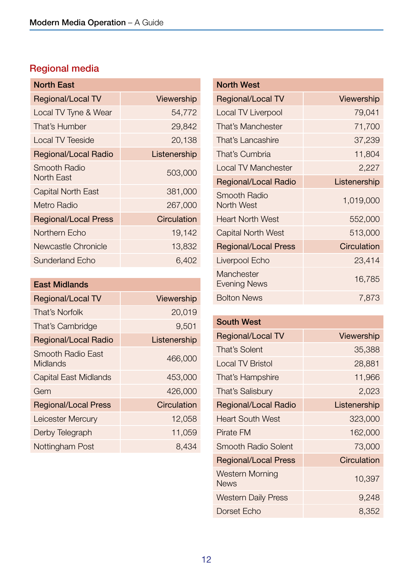## Regional media

| <b>North East</b>           |              |
|-----------------------------|--------------|
| Regional/Local TV           | Viewership   |
| Local TV Tyne & Wear        | 54,772       |
| That's Humber               | 29,842       |
| <b>Local TV Teeside</b>     | 20,138       |
| <b>Regional/Local Radio</b> | Listenership |
| Smooth Radio<br>North East  | 503,000      |
| <b>Capital North East</b>   | 381,000      |
| Metro Radio                 | 267,000      |
| <b>Regional/Local Press</b> | Circulation  |
| Northern Echo               | 19,142       |
| <b>Newcastle Chronicle</b>  | 13,832       |
| <b>Sunderland Echo</b>      | 6,402        |

| <b>East Midlands</b>                 |                   |
|--------------------------------------|-------------------|
| Regional/Local TV                    | <b>Viewership</b> |
| That's Norfolk                       | 20,019            |
| That's Cambridge                     | 9,501             |
| <b>Regional/Local Radio</b>          | Listenership      |
| Smooth Radio East<br><b>Midlands</b> | 466,000           |
| <b>Capital East Midlands</b>         | 453,000           |
| Gem                                  | 426,000           |
| <b>Regional/Local Press</b>          | Circulation       |
| Leicester Mercury                    | 12,058            |
| Derby Telegraph                      | 11,059            |
| Nottingham Post                      | 8,434             |

| <b>North West</b>           |                   |
|-----------------------------|-------------------|
| Regional/Local TV           | <b>Viewership</b> |
| <b>Local TV Liverpool</b>   | 79,041            |
| That's Manchester           | 71,700            |
| That's Lancashire           | 37,239            |
| That's Cumbria              | 11,804            |
| <b>Local TV Manchester</b>  | 2,227             |
| <b>Regional/Local Radio</b> | Listenership      |
| Smooth Radio<br>North West  | 1,019,000         |
| <b>Heart North West</b>     | 552,000           |
| Capital North West          | 513,000           |
| <b>Regional/Local Press</b> | Circulation       |
| Liverpool Echo              | 23,414            |
| Manchester<br>Evening News  | 16,785            |
| <b>Bolton News</b>          | 7,873             |

#### South West

| <b>Regional/Local TV</b>       | <b>Viewership</b> |
|--------------------------------|-------------------|
| That's Solent                  | 35,388            |
| <b>Local TV Bristol</b>        | 28,881            |
| That's Hampshire               | 11,966            |
| That's Salisbury               | 2,023             |
| <b>Regional/Local Radio</b>    | Listenership      |
| <b>Heart South West</b>        | 323,000           |
| <b>Pirate FM</b>               | 162,000           |
| Smooth Radio Solent            | 73,000            |
| <b>Regional/Local Press</b>    | Circulation       |
| Western Morning<br><b>News</b> | 10,397            |
| <b>Western Daily Press</b>     | 9,248             |
| Dorset Echo                    | 8,352             |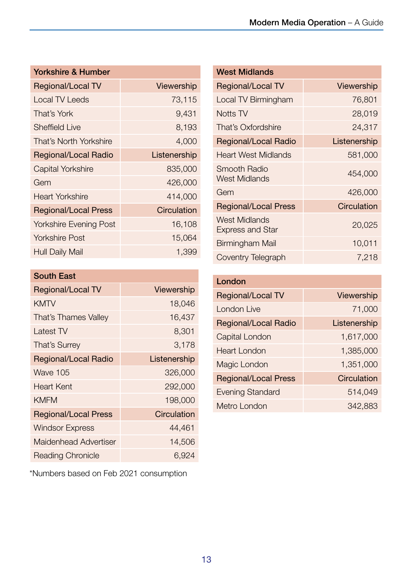| <b>Yorkshire &amp; Humber</b> |                   |
|-------------------------------|-------------------|
| Regional/Local TV             | <b>Viewership</b> |
| <b>Local TV Leeds</b>         | 73,115            |
| That's York                   | 9,431             |
| <b>Sheffield Live</b>         | 8,193             |
| That's North Yorkshire        | 4,000             |
| Regional/Local Radio          | Listenership      |
| Capital Yorkshire             | 835,000           |
| Gem                           | 426,000           |
| Heart Yorkshire               | 414,000           |
| <b>Regional/Local Press</b>   | Circulation       |
| <b>Yorkshire Evening Post</b> | 16,108            |
| Yorkshire Post                | 15,064            |
| <b>Hull Daily Mail</b>        | 1,399             |

| <b>South East</b>           |              |
|-----------------------------|--------------|
| <b>Regional/Local TV</b>    | Viewership   |
| <b>KMTV</b>                 | 18,046       |
| That's Thames Valley        | 16,437       |
| Latest TV                   | 8,301        |
| <b>That's Surrey</b>        | 3,178        |
| <b>Regional/Local Radio</b> | Listenership |
| Wave 105                    | 326,000      |
| Heart Kent                  | 292,000      |
| <b>KMFM</b>                 | 198,000      |
| <b>Regional/Local Press</b> | Circulation  |
| <b>Windsor Express</b>      | 44,461       |
| Maidenhead Advertiser       | 14,506       |
| <b>Reading Chronicle</b>    | 6,924        |

\*Numbers based on Feb 2021 consumption

| <b>West Midlands</b>                            |                   |
|-------------------------------------------------|-------------------|
| Regional/Local TV                               | <b>Viewership</b> |
| Local TV Birmingham                             | 76,801            |
| Notts TV                                        | 28,019            |
| That's Oxfordshire                              | 24,317            |
| Regional/Local Radio                            | Listenership      |
| Heart West Midlands                             | 581,000           |
| Smooth Radio<br><b>West Midlands</b>            | 454,000           |
| Gem                                             | 426,000           |
| <b>Regional/Local Press</b>                     | Circulation       |
| <b>West Midlands</b><br><b>Express and Star</b> | 20,025            |
| Birmingham Mail                                 | 10,011            |
| Coventry Telegraph                              | 7,218             |

| London                      |              |
|-----------------------------|--------------|
| Regional/Local TV           | Viewership   |
| London Live                 | 71,000       |
| <b>Regional/Local Radio</b> | Listenership |
| <b>Capital London</b>       | 1,617,000    |
| Heart London                | 1,385,000    |
| Magic London                | 1,351,000    |
| <b>Regional/Local Press</b> | Circulation  |
| <b>Evening Standard</b>     | 514,049      |
| Metro London                | 342,883      |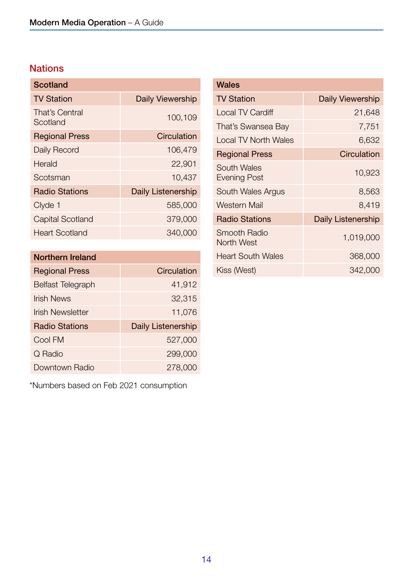### **Nations**

| <b>Daily Viewership</b> |
|-------------------------|
| 100,109                 |
| Circulation             |
| 106,479                 |
| 22,901                  |
| 10,437                  |
| Daily Listenership      |
| 585,000                 |
| 379,000                 |
| 340,000                 |
|                         |

| <b>Northern Ireland</b>  |                           |
|--------------------------|---------------------------|
| <b>Regional Press</b>    | Circulation               |
| <b>Belfast Telegraph</b> | 41,912                    |
| <b>Irish News</b>        | 32,315                    |
| Irish Newsletter         | 11,076                    |
| <b>Radio Stations</b>    | <b>Daily Listenership</b> |
| Cool FM                  | 527,000                   |
| Q Radio                  | 299,000                   |
| Downtown Radio           | 278,000                   |

\*Numbers based on Feb 2021 consumption

| Wales                              |                         |
|------------------------------------|-------------------------|
| <b>TV Station</b>                  | <b>Daily Viewership</b> |
| Local TV Cardiff                   | 21,648                  |
| That's Swansea Bay                 | 7,751                   |
| <b>Local TV North Wales</b>        | 6,632                   |
| <b>Regional Press</b>              | Circulation             |
| South Wales<br><b>Evening Post</b> | 10,923                  |
| South Wales Argus                  | 8,563                   |
| <b>Western Mail</b>                | 8,419                   |
| <b>Radio Stations</b>              | Daily Listenership      |
| <b>Smooth Radio</b><br>North West  | 1,019,000               |
| <b>Heart South Wales</b>           | 368,000                 |
| Kiss (West)                        | 342,000                 |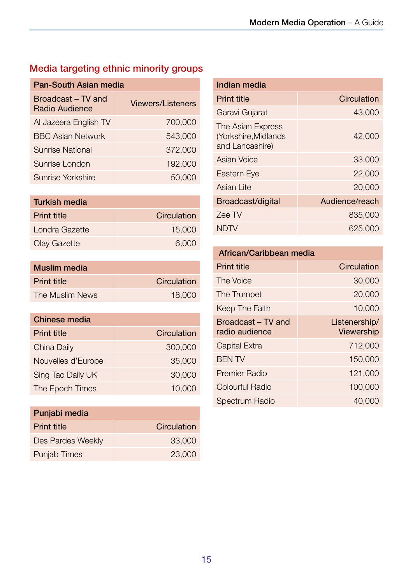### Media targeting ethnic minority groups

| <b>Pan-South Asian media</b>         |                          |
|--------------------------------------|--------------------------|
| Broadcast – TV and<br>Radio Audience | <b>Viewers/Listeners</b> |
| Al Jazeera English TV                | 700,000                  |
| <b>BBC Asian Network</b>             | 543,000                  |
| <b>Sunrise National</b>              | 372,000                  |
| Sunrise London                       | 192,000                  |
| Sunrise Yorkshire                    | 50,000                   |

| <b>Turkish media</b> |             |
|----------------------|-------------|
| <b>Print title</b>   | Circulation |
| Londra Gazette       | 15,000      |
| <b>Olay Gazette</b>  | 6,000       |

| <b>Muslim</b> media |             |
|---------------------|-------------|
| <b>Print title</b>  | Circulation |
| The Muslim News     | 18,000      |

| <b>Chinese media</b> |             |
|----------------------|-------------|
| <b>Print title</b>   | Circulation |
| China Daily          | 300,000     |
| Nouvelles d'Europe   | 35,000      |
| Sing Tao Daily UK    | 30,000      |
| The Epoch Times      | 10,000      |

| Punjabi media       |             |
|---------------------|-------------|
| <b>Print title</b>  | Circulation |
| Des Pardes Weekly   | 33,000      |
| <b>Punjab Times</b> | 23,000      |

| Indian media                                                 |                |
|--------------------------------------------------------------|----------------|
| <b>Print title</b>                                           | Circulation    |
| Garavi Gujarat                                               | 43,000         |
| The Asian Express<br>(Yorkshire, Midlands<br>and Lancashire) | 42,000         |
| Asian Voice                                                  | 33,000         |
| Eastern Eye                                                  | 22,000         |
| Asian Lite                                                   | 20,000         |
| Broadcast/digital                                            | Audience/reach |
| Zee TV                                                       | 835,000        |
| NDIV                                                         | 625,000        |

| African/Caribbean media |  |
|-------------------------|--|
|                         |  |

| <b>Print title</b>                   | Circulation                 |
|--------------------------------------|-----------------------------|
| The Voice                            | 30,000                      |
| The Trumpet                          | 20,000                      |
| Keep The Faith                       | 10,000                      |
| Broadcast - TV and<br>radio audience | Listenership/<br>Viewership |
| <b>Capital Extra</b>                 | 712,000                     |
| <b>BEN TV</b>                        | 150,000                     |
| <b>Premier Radio</b>                 | 121,000                     |
| <b>Colourful Radio</b>               | 100,000                     |
| Spectrum Radio                       | 40,000                      |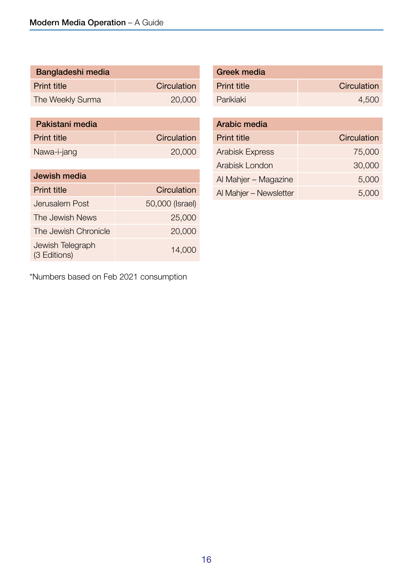| <b>Bangladeshi media</b> |                    |
|--------------------------|--------------------|
| <b>Print title</b>       | <b>Circulation</b> |
| The Weekly Surma         | 20,000             |

| Pakistani media    |             |
|--------------------|-------------|
| <b>Print title</b> | Circulation |
| Nawa-i-jang        | 20,000      |

| Jewish media                     |                 |
|----------------------------------|-----------------|
| <b>Print title</b>               | Circulation     |
| Jerusalem Post                   | 50,000 (Israel) |
| The Jewish News                  | 25,000          |
| The Jewish Chronicle             | 20,000          |
| Jewish Telegraph<br>(3 Editions) | 14,000          |

\*Numbers based on Feb 2021 consumption

| <b>Greek media</b> |             |
|--------------------|-------------|
| <b>Print title</b> | Circulation |
| Parikiaki          | 4,500       |

| Arabic media           |             |
|------------------------|-------------|
| <b>Print title</b>     | Circulation |
| <b>Arabisk Express</b> | 75,000      |
| Arabisk London         | 30,000      |
| Al Mahjer - Magazine   | 5,000       |
| Al Mahjer - Newsletter | 5.000       |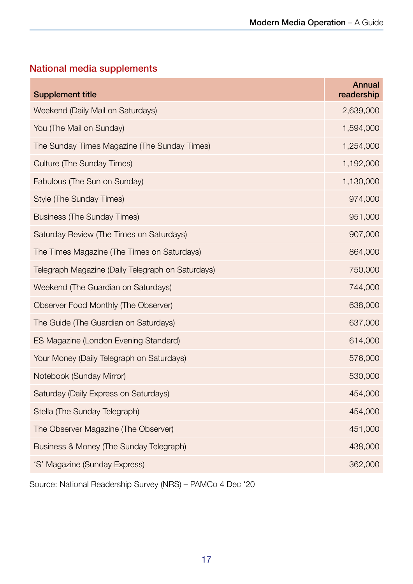### National media supplements

| <b>Annual</b><br>readership |
|-----------------------------|
| 2,639,000                   |
| 1,594,000                   |
| 1,254,000                   |
| 1,192,000                   |
| 1,130,000                   |
| 974,000                     |
| 951,000                     |
| 907,000                     |
| 864,000                     |
| 750,000                     |
| 744,000                     |
| 638,000                     |
| 637,000                     |
| 614,000                     |
| 576,000                     |
| 530,000                     |
| 454,000                     |
| 454,000                     |
| 451,000                     |
| 438,000                     |
| 362,000                     |
|                             |

Source: National Readership Survey (NRS) – PAMCo 4 Dec '20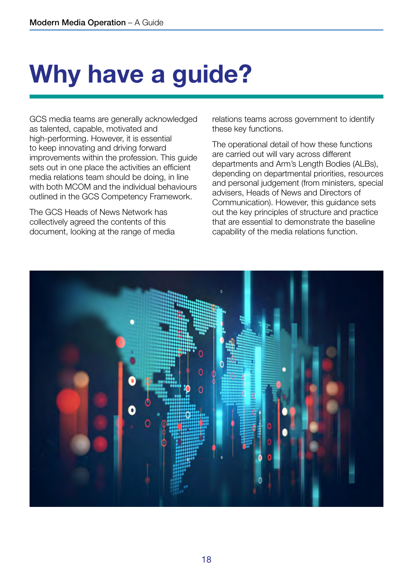# <span id="page-19-0"></span>Why have a guide?

GCS media teams are generally acknowledged as talented, capable, motivated and high-performing. However, it is essential to keep innovating and driving forward improvements within the profession. This guide sets out in one place the activities an efficient media relations team should be doing, in line with both MCOM and the individual behaviours outlined in the GCS Competency Framework.

The GCS Heads of News Network has collectively agreed the contents of this document, looking at the range of media relations teams across government to identify these key functions.

The operational detail of how these functions are carried out will vary across different departments and Arm's Length Bodies (ALBs), depending on departmental priorities, resources and personal judgement (from ministers, special advisers, Heads of News and Directors of Communication). However, this guidance sets out the key principles of structure and practice that are essential to demonstrate the baseline capability of the media relations function.

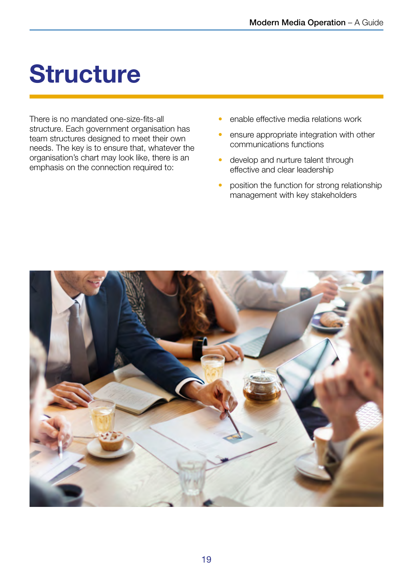## <span id="page-20-0"></span>**Structure**

There is no mandated one-size-fits-all structure. Each government organisation has team structures designed to meet their own needs. The key is to ensure that, whatever the organisation's chart may look like, there is an emphasis on the connection required to:

- enable effective media relations work
- ensure appropriate integration with other communications functions
- develop and nurture talent through effective and clear leadership
- position the function for strong relationship management with key stakeholders

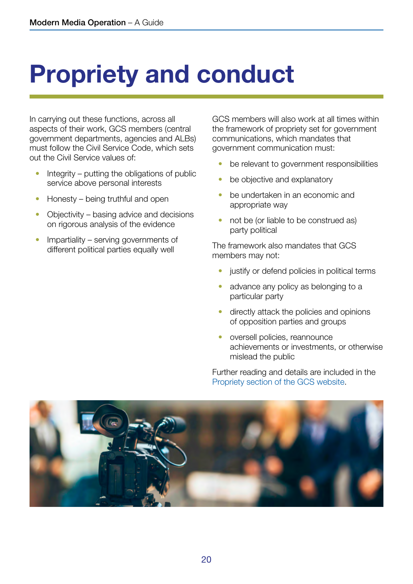## <span id="page-21-0"></span>Propriety and conduct

In carrying out these functions, across all aspects of their work, GCS members (central government departments, agencies and ALBs) must follow the Civil Service Code, which sets out the Civil Service values of:

- Integrity putting the obligations of public service above personal interests
- Honesty being truthful and open
- Objectivity basing advice and decisions on rigorous analysis of the evidence
- Impartiality serving governments of different political parties equally well

GCS members will also work at all times within the framework of propriety set for government communications, which mandates that government communication must:

- be relevant to government responsibilities
- be objective and explanatory
- be undertaken in an economic and appropriate way
- not be (or liable to be construed as) party political

The framework also mandates that GCS members may not:

- justify or defend policies in political terms
- advance any policy as belonging to a particular party
- directly attack the policies and opinions of opposition parties and groups
- oversell policies, reannounce achievements or investments, or otherwise mislead the public

Further reading and details are included in the [Propriety section of the GCS website.](https://gcs.civilservice.gov.uk/guidance/professional-standards/propriety/)

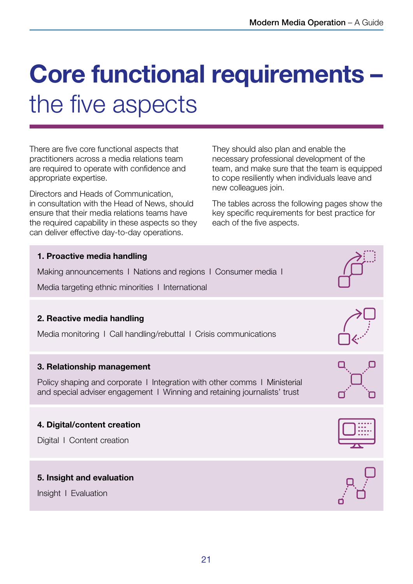## <span id="page-22-0"></span>Core functional requirements – the five aspects

There are five core functional aspects that practitioners across a media relations team are required to operate with confidence and appropriate expertise.

Directors and Heads of Communication, in consultation with the Head of News, should ensure that their media relations teams have the required capability in these aspects so they can deliver effective day-to-day operations.

They should also plan and enable the necessary professional development of the team, and make sure that the team is equipped to cope resiliently when individuals leave and new colleagues join.

The tables across the following pages show the key specific requirements for best practice for each of the five aspects.

| 1. Proactive media handling<br>Making announcements I Nations and regions I Consumer media I<br>Media targeting ethnic minorities 1 International                                    |  |
|--------------------------------------------------------------------------------------------------------------------------------------------------------------------------------------|--|
| 2. Reactive media handling<br>Media monitoring I Call handling/rebuttal I Crisis communications                                                                                      |  |
| 3. Relationship management<br>Policy shaping and corporate I Integration with other comms I Ministerial<br>and special adviser engagement I Winning and retaining journalists' trust |  |
| 4. Digital/content creation<br>Digital I Content creation                                                                                                                            |  |
| 5. Insight and evaluation<br>Insight I Evaluation                                                                                                                                    |  |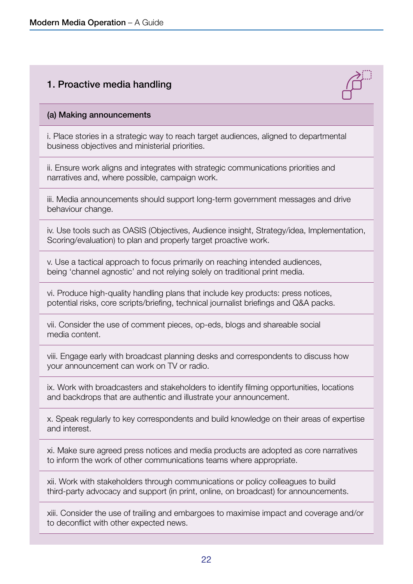### 1. Proactive media handling



#### (a) Making announcements

i. Place stories in a strategic way to reach target audiences, aligned to departmental business objectives and ministerial priorities.

ii. Ensure work aligns and integrates with strategic communications priorities and narratives and, where possible, campaign work.

iii. Media announcements should support long-term government messages and drive behaviour change.

iv. Use tools such as OASIS (Objectives, Audience insight, Strategy/idea, Implementation, Scoring/evaluation) to plan and properly target proactive work.

v. Use a tactical approach to focus primarily on reaching intended audiences, being 'channel agnostic' and not relying solely on traditional print media.

vi. Produce high-quality handling plans that include key products: press notices, potential risks, core scripts/briefing, technical journalist briefings and Q&A packs.

vii. Consider the use of comment pieces, op-eds, blogs and shareable social media content.

viii. Engage early with broadcast planning desks and correspondents to discuss how your announcement can work on TV or radio.

ix. Work with broadcasters and stakeholders to identify filming opportunities, locations and backdrops that are authentic and illustrate your announcement.

x. Speak regularly to key correspondents and build knowledge on their areas of expertise and interest.

xi. Make sure agreed press notices and media products are adopted as core narratives to inform the work of other communications teams where appropriate.

xii. Work with stakeholders through communications or policy colleagues to build third-party advocacy and support (in print, online, on broadcast) for announcements.

xiii. Consider the use of trailing and embargoes to maximise impact and coverage and/or to deconflict with other expected news.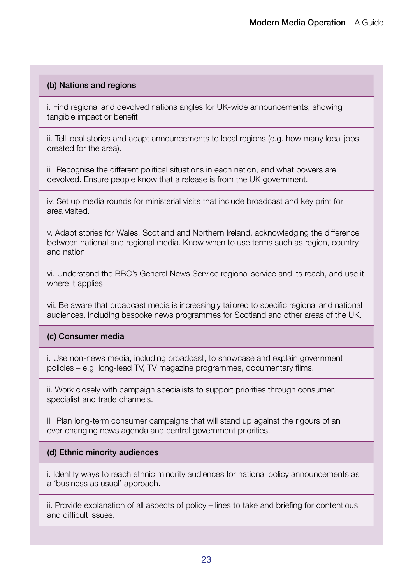#### (b) Nations and regions

i. Find regional and devolved nations angles for UK-wide announcements, showing tangible impact or benefit.

ii. Tell local stories and adapt announcements to local regions (e.g. how many local jobs created for the area).

iii. Recognise the different political situations in each nation, and what powers are devolved. Ensure people know that a release is from the UK government.

iv. Set up media rounds for ministerial visits that include broadcast and key print for area visited.

v. Adapt stories for Wales, Scotland and Northern Ireland, acknowledging the difference between national and regional media. Know when to use terms such as region, country and nation.

vi. Understand the BBC's General News Service regional service and its reach, and use it where it applies.

vii. Be aware that broadcast media is increasingly tailored to specific regional and national audiences, including bespoke news programmes for Scotland and other areas of the UK.

#### (c) Consumer media

i. Use non-news media, including broadcast, to showcase and explain government policies – e.g. long-lead TV, TV magazine programmes, documentary films.

ii. Work closely with campaign specialists to support priorities through consumer, specialist and trade channels.

iii. Plan long-term consumer campaigns that will stand up against the rigours of an ever-changing news agenda and central government priorities.

#### (d) Ethnic minority audiences

i. Identify ways to reach ethnic minority audiences for national policy announcements as a 'business as usual' approach.

ii. Provide explanation of all aspects of policy – lines to take and briefing for contentious and difficult issues.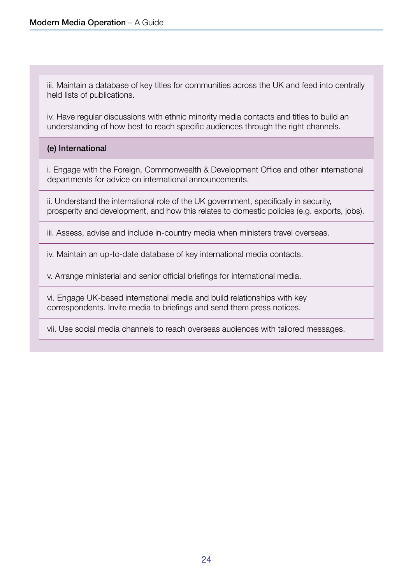iii. Maintain a database of key titles for communities across the UK and feed into centrally held lists of publications.

iv. Have regular discussions with ethnic minority media contacts and titles to build an understanding of how best to reach specific audiences through the right channels.

#### (e) International

i. Engage with the Foreign, Commonwealth & Development Office and other international departments for advice on international announcements.

ii. Understand the international role of the UK government, specifically in security, prosperity and development, and how this relates to domestic policies (e.g. exports, jobs).

iii. Assess, advise and include in-country media when ministers travel overseas.

iv. Maintain an up-to-date database of key international media contacts.

v. Arrange ministerial and senior official briefings for international media.

vi. Engage UK-based international media and build relationships with key correspondents. Invite media to briefings and send them press notices.

vii. Use social media channels to reach overseas audiences with tailored messages.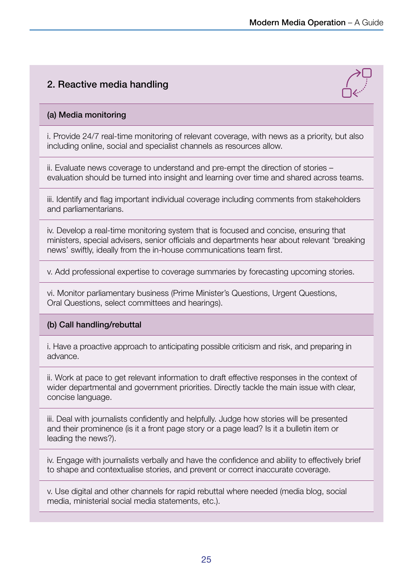### 2. Reactive media handling



#### (a) Media monitoring

i. Provide 24/7 real-time monitoring of relevant coverage, with news as a priority, but also including online, social and specialist channels as resources allow.

ii. Evaluate news coverage to understand and pre-empt the direction of stories – evaluation should be turned into insight and learning over time and shared across teams.

iii. Identify and flag important individual coverage including comments from stakeholders and parliamentarians.

iv. Develop a real-time monitoring system that is focused and concise, ensuring that ministers, special advisers, senior officials and departments hear about relevant 'breaking news' swiftly, ideally from the in-house communications team first.

v. Add professional expertise to coverage summaries by forecasting upcoming stories.

vi. Monitor parliamentary business (Prime Minister's Questions, Urgent Questions, Oral Questions, select committees and hearings).

#### (b) Call handling/rebuttal

i. Have a proactive approach to anticipating possible criticism and risk, and preparing in advance.

ii. Work at pace to get relevant information to draft effective responses in the context of wider departmental and government priorities. Directly tackle the main issue with clear, concise language.

iii. Deal with journalists confidently and helpfully. Judge how stories will be presented and their prominence (is it a front page story or a page lead? Is it a bulletin item or leading the news?).

iv. Engage with journalists verbally and have the confidence and ability to effectively brief to shape and contextualise stories, and prevent or correct inaccurate coverage.

v. Use digital and other channels for rapid rebuttal where needed (media blog, social media, ministerial social media statements, etc.).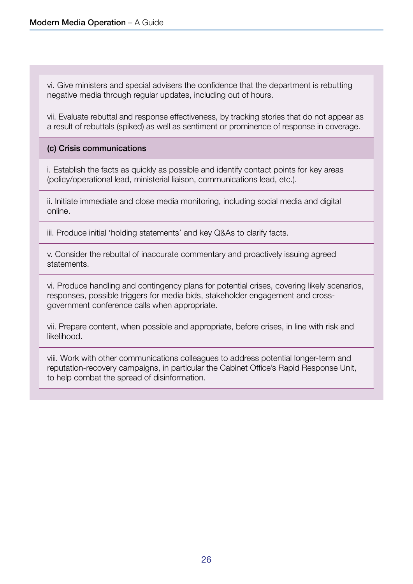vi. Give ministers and special advisers the confidence that the department is rebutting negative media through regular updates, including out of hours.

vii. Evaluate rebuttal and response effectiveness, by tracking stories that do not appear as a result of rebuttals (spiked) as well as sentiment or prominence of response in coverage.

#### (c) Crisis communications

i. Establish the facts as quickly as possible and identify contact points for key areas (policy/operational lead, ministerial liaison, communications lead, etc.).

ii. Initiate immediate and close media monitoring, including social media and digital online.

iii. Produce initial 'holding statements' and key Q&As to clarify facts.

v. Consider the rebuttal of inaccurate commentary and proactively issuing agreed statements.

vi. Produce handling and contingency plans for potential crises, covering likely scenarios, responses, possible triggers for media bids, stakeholder engagement and crossgovernment conference calls when appropriate.

vii. Prepare content, when possible and appropriate, before crises, in line with risk and likelihood.

viii. Work with other communications colleagues to address potential longer-term and reputation-recovery campaigns, in particular the Cabinet Office's Rapid Response Unit, to help combat the spread of disinformation.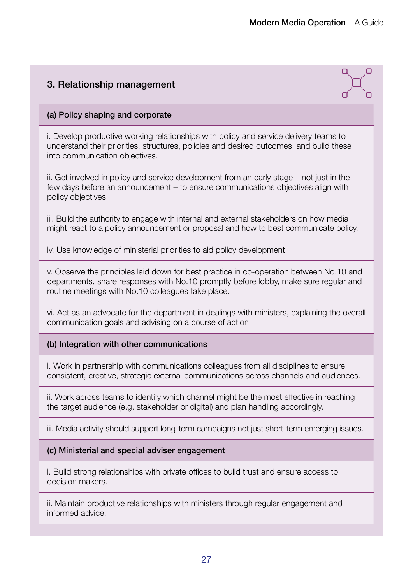### 3. Relationship management



#### (a) Policy shaping and corporate

i. Develop productive working relationships with policy and service delivery teams to understand their priorities, structures, policies and desired outcomes, and build these into communication objectives.

ii. Get involved in policy and service development from an early stage – not just in the few days before an announcement – to ensure communications objectives align with policy objectives.

iii. Build the authority to engage with internal and external stakeholders on how media might react to a policy announcement or proposal and how to best communicate policy.

iv. Use knowledge of ministerial priorities to aid policy development.

v. Observe the principles laid down for best practice in co-operation between No.10 and departments, share responses with No.10 promptly before lobby, make sure regular and routine meetings with No.10 colleagues take place.

vi. Act as an advocate for the department in dealings with ministers, explaining the overall communication goals and advising on a course of action.

#### (b) Integration with other communications

i. Work in partnership with communications colleagues from all disciplines to ensure consistent, creative, strategic external communications across channels and audiences.

ii. Work across teams to identify which channel might be the most effective in reaching the target audience (e.g. stakeholder or digital) and plan handling accordingly.

iii. Media activity should support long-term campaigns not just short-term emerging issues.

#### (c) Ministerial and special adviser engagement

i. Build strong relationships with private offices to build trust and ensure access to decision makers.

ii. Maintain productive relationships with ministers through regular engagement and informed advice.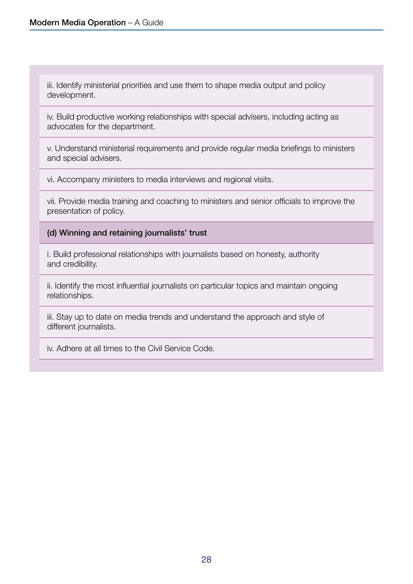iii. Identify ministerial priorities and use them to shape media output and policy development.

iv. Build productive working relationships with special advisers, including acting as advocates for the department.

v. Understand ministerial requirements and provide regular media briefings to ministers and special advisers.

vi. Accompany ministers to media interviews and regional visits.

vii. Provide media training and coaching to ministers and senior officials to improve the presentation of policy.

(d) Winning and retaining journalists' trust

i. Build professional relationships with journalists based on honesty, authority and credibility.

ii. Identify the most influential journalists on particular topics and maintain ongoing relationships.

iii. Stay up to date on media trends and understand the approach and style of different journalists.

iv. Adhere at all times to the Civil Service Code.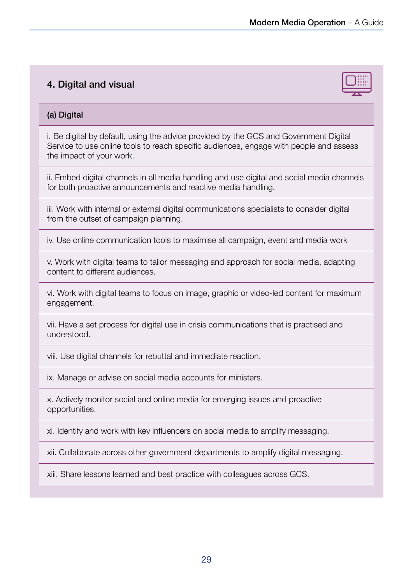### 4. Digital and visual



#### (a) Digital

i. Be digital by default, using the advice provided by the GCS and Government Digital Service to use online tools to reach specific audiences, engage with people and assess the impact of your work.

ii. Embed digital channels in all media handling and use digital and social media channels for both proactive announcements and reactive media handling.

iii. Work with internal or external digital communications specialists to consider digital from the outset of campaign planning.

iv. Use online communication tools to maximise all campaign, event and media work

v. Work with digital teams to tailor messaging and approach for social media, adapting content to different audiences.

vi. Work with digital teams to focus on image, graphic or video-led content for maximum engagement.

vii. Have a set process for digital use in crisis communications that is practised and understood.

viii. Use digital channels for rebuttal and immediate reaction.

ix. Manage or advise on social media accounts for ministers.

x. Actively monitor social and online media for emerging issues and proactive opportunities.

xi. Identify and work with key influencers on social media to amplify messaging.

xii. Collaborate across other government departments to amplify digital messaging.

xiii. Share lessons learned and best practice with colleagues across GCS.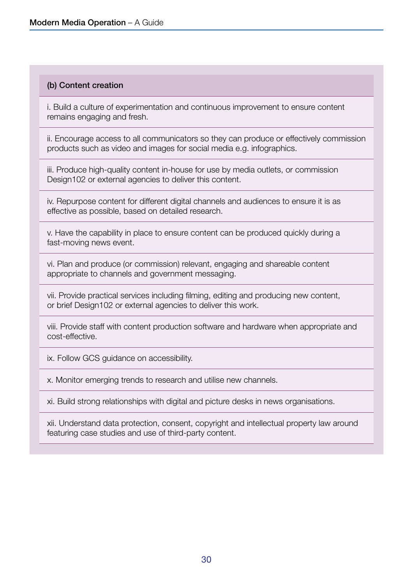#### (b) Content creation

i. Build a culture of experimentation and continuous improvement to ensure content remains engaging and fresh.

ii. Encourage access to all communicators so they can produce or effectively commission products such as video and images for social media e.g. infographics.

iii. Produce high-quality content in-house for use by media outlets, or commission Design102 or external agencies to deliver this content.

iv. Repurpose content for different digital channels and audiences to ensure it is as effective as possible, based on detailed research.

v. Have the capability in place to ensure content can be produced quickly during a fast-moving news event.

vi. Plan and produce (or commission) relevant, engaging and shareable content appropriate to channels and government messaging.

vii. Provide practical services including filming, editing and producing new content, or brief Design102 or external agencies to deliver this work.

viii. Provide staff with content production software and hardware when appropriate and cost-effective.

ix. Follow GCS guidance on accessibility.

x. Monitor emerging trends to research and utilise new channels.

xi. Build strong relationships with digital and picture desks in news organisations.

xii. Understand data protection, consent, copyright and intellectual property law around featuring case studies and use of third-party content.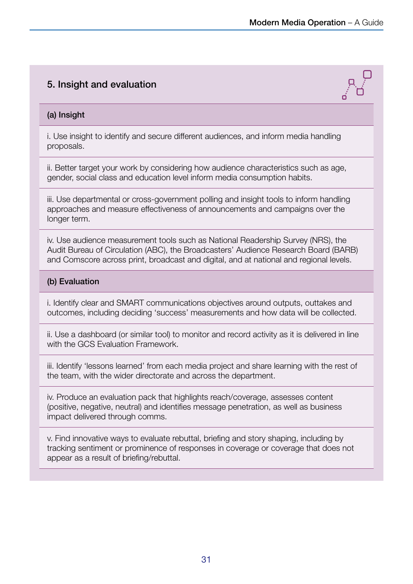### 5. Insight and evaluation



#### (a) Insight

i. Use insight to identify and secure different audiences, and inform media handling proposals.

ii. Better target your work by considering how audience characteristics such as age, gender, social class and education level inform media consumption habits.

iii. Use departmental or cross-government polling and insight tools to inform handling approaches and measure effectiveness of announcements and campaigns over the longer term.

iv. Use audience measurement tools such as National Readership Survey (NRS), the Audit Bureau of Circulation (ABC), the Broadcasters' Audience Research Board (BARB) and Comscore across print, broadcast and digital, and at national and regional levels.

#### (b) Evaluation

i. Identify clear and SMART communications objectives around outputs, outtakes and outcomes, including deciding 'success' measurements and how data will be collected.

ii. Use a dashboard (or similar tool) to monitor and record activity as it is delivered in line with the GCS Evaluation Framework.

iii. Identify 'lessons learned' from each media project and share learning with the rest of the team, with the wider directorate and across the department.

iv. Produce an evaluation pack that highlights reach/coverage, assesses content (positive, negative, neutral) and identifies message penetration, as well as business impact delivered through comms.

v. Find innovative ways to evaluate rebuttal, briefing and story shaping, including by tracking sentiment or prominence of responses in coverage or coverage that does not appear as a result of briefing/rebuttal.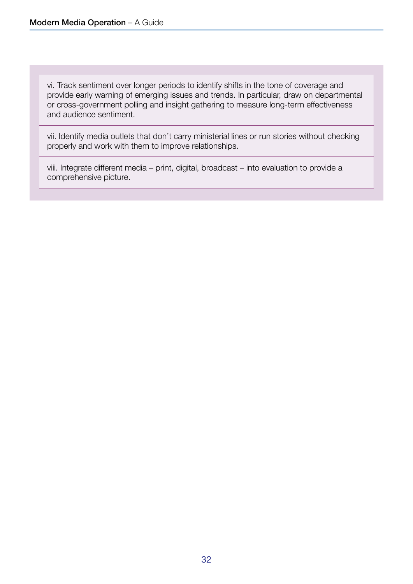vi. Track sentiment over longer periods to identify shifts in the tone of coverage and provide early warning of emerging issues and trends. In particular, draw on departmental or cross-government polling and insight gathering to measure long-term effectiveness and audience sentiment.

vii. Identify media outlets that don't carry ministerial lines or run stories without checking properly and work with them to improve relationships.

viii. Integrate different media – print, digital, broadcast – into evaluation to provide a comprehensive picture.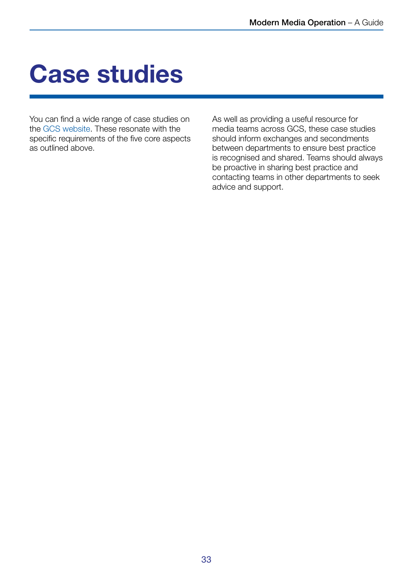## <span id="page-34-0"></span>Case studies

You can find a wide range of case studies on the [GCS website](https://gcs.civilservice.gov.uk/guidance/media/). These resonate with the specific requirements of the five core aspects as outlined above.

As well as providing a useful resource for media teams across GCS, these case studies should inform exchanges and secondments between departments to ensure best practice is recognised and shared. Teams should always be proactive in sharing best practice and contacting teams in other departments to seek advice and support.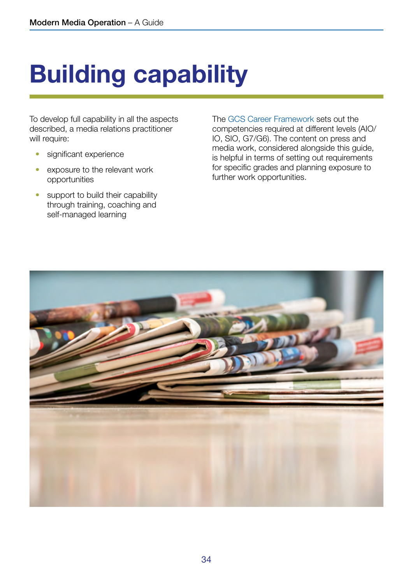# <span id="page-35-0"></span>Building capability

To develop full capability in all the aspects described, a media relations practitioner will require:

- significant experience
- exposure to the relevant work opportunities
- support to build their capability through training, coaching and self-managed learning

The [GCS Career Framework](https://gcs.civilservice.gov.uk/publications/career-framework/) sets out the competencies required at different levels (AIO/ IO, SIO, G7/G6). The content on press and media work, considered alongside this guide, is helpful in terms of setting out requirements for specific grades and planning exposure to further work opportunities.

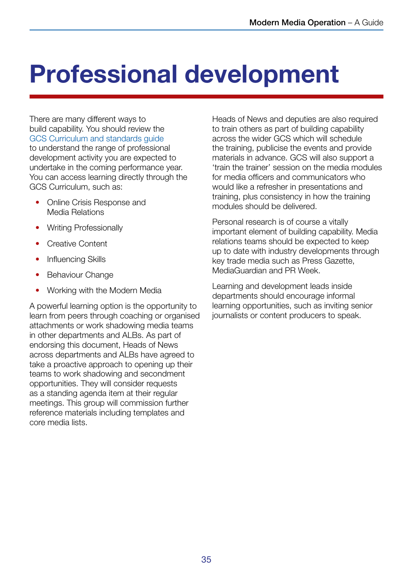## <span id="page-36-0"></span>Professional development

There are many different ways to build capability. You should review the [GCS Curriculum and standards guide](https://gcs.civilservice.gov.uk/publications/gcs-learning-and-development-2021-22-your-guide-to-the-new-curriculum-and-standards/) to understand the range of professional development activity you are expected to undertake in the coming performance year. You can access learning directly through the GCS Curriculum, such as:

- Online Crisis Response and Media Relations
- Writing Professionally
- Creative Content
- Influencing Skills
- **Behaviour Change**
- Working with the Modern Media

A powerful learning option is the opportunity to learn from peers through coaching or organised attachments or work shadowing media teams in other departments and ALBs. As part of endorsing this document, Heads of News across departments and ALBs have agreed to take a proactive approach to opening up their teams to work shadowing and secondment opportunities. They will consider requests as a standing agenda item at their regular meetings. This group will commission further reference materials including templates and core media lists.

Heads of News and deputies are also required to train others as part of building capability across the wider GCS which will schedule the training, publicise the events and provide materials in advance. GCS will also support a 'train the trainer' session on the media modules for media officers and communicators who would like a refresher in presentations and training, plus consistency in how the training modules should be delivered.

Personal research is of course a vitally important element of building capability. Media relations teams should be expected to keep up to date with industry developments through key trade media such as Press Gazette, MediaGuardian and PR Week.

Learning and development leads inside departments should encourage informal learning opportunities, such as inviting senior journalists or content producers to speak.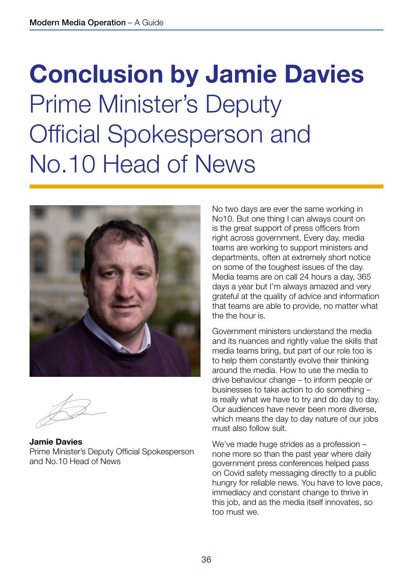## <span id="page-37-0"></span>Conclusion by Jamie Davies Prime Minister's Deputy Official Spokesperson and No.10 Head of News



Jamie Davies Prime Minister's Deputy Official Spokesperson and No.10 Head of News

No two days are ever the same working in No10. But one thing I can always count on is the great support of press officers from right across government. Every day, media teams are working to support ministers and departments, often at extremely short notice on some of the toughest issues of the day. Media teams are on call 24 hours a day, 365 days a year but I'm always amazed and very grateful at the quality of advice and information that teams are able to provide, no matter what the the hour is.

Government ministers understand the media and its nuances and rightly value the skills that media teams bring, but part of our role too is to help them constantly evolve their thinking around the media. How to use the media to drive behaviour change – to inform people or businesses to take action to do something – is really what we have to try and do day to day. Our audiences have never been more diverse, which means the day to day nature of our jobs must also follow suit.

We've made huge strides as a profession – none more so than the past year where daily government press conferences helped pass on Covid safety messaging directly to a public hungry for reliable news. You have to love pace, immediacy and constant change to thrive in this job, and as the media itself innovates, so too must we.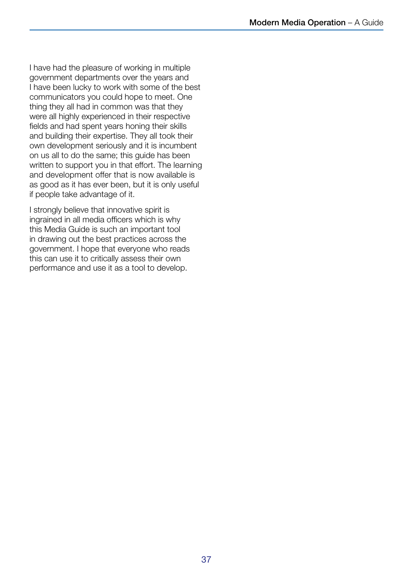I have had the pleasure of working in multiple government departments over the years and I have been lucky to work with some of the best communicators you could hope to meet. One thing they all had in common was that they were all highly experienced in their respective fields and had spent years honing their skills and building their expertise. They all took their own development seriously and it is incumbent on us all to do the same; this guide has been written to support you in that effort. The learning and development offer that is now available is as good as it has ever been, but it is only useful if people take advantage of it.

I strongly believe that innovative spirit is ingrained in all media officers which is why this Media Guide is such an important tool in drawing out the best practices across the government. I hope that everyone who reads this can use it to critically assess their own performance and use it as a tool to develop.